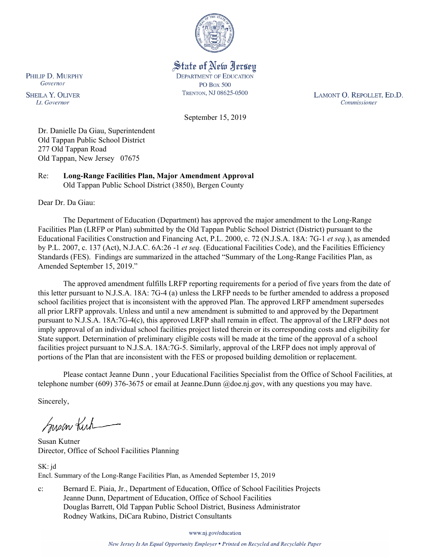

State of New Jersey **DEPARTMENT OF EDUCATION PO Box 500** TRENTON, NJ 08625-0500

LAMONT O. REPOLLET, ED.D. Commissioner

September 15, 2019

Dr. Danielle Da Giau, Superintendent Old Tappan Public School District 277 Old Tappan Road Old Tappan, New Jersey 07675

Re: **Long-Range Facilities Plan, Major Amendment Approval** Old Tappan Public School District (3850), Bergen County

Dear Dr. Da Giau:

The Department of Education (Department) has approved the major amendment to the Long-Range Facilities Plan (LRFP or Plan) submitted by the Old Tappan Public School District (District) pursuant to the Educational Facilities Construction and Financing Act, P.L. 2000, c. 72 (N.J.S.A. 18A: 7G-1 *et seq.*), as amended by P.L. 2007, c. 137 (Act), N.J.A.C. 6A:26 -1 *et seq.* (Educational Facilities Code), and the Facilities Efficiency Standards (FES). Findings are summarized in the attached "Summary of the Long-Range Facilities Plan, as Amended September 15, 2019."

The approved amendment fulfills LRFP reporting requirements for a period of five years from the date of this letter pursuant to N.J.S.A. 18A: 7G-4 (a) unless the LRFP needs to be further amended to address a proposed school facilities project that is inconsistent with the approved Plan. The approved LRFP amendment supersedes all prior LRFP approvals. Unless and until a new amendment is submitted to and approved by the Department pursuant to N.J.S.A. 18A:7G-4(c), this approved LRFP shall remain in effect. The approval of the LRFP does not imply approval of an individual school facilities project listed therein or its corresponding costs and eligibility for State support. Determination of preliminary eligible costs will be made at the time of the approval of a school facilities project pursuant to N.J.S.A. 18A:7G-5. Similarly, approval of the LRFP does not imply approval of portions of the Plan that are inconsistent with the FES or proposed building demolition or replacement.

Please contact Jeanne Dunn , your Educational Facilities Specialist from the Office of School Facilities, at telephone number (609) 376-3675 or email at Jeanne.Dunn @doe.nj.gov, with any questions you may have.

Sincerely,

Susan Kich

Susan Kutner Director, Office of School Facilities Planning

SK: jd Encl. Summary of the Long-Range Facilities Plan, as Amended September 15, 2019

c: Bernard E. Piaia, Jr., Department of Education, Office of School Facilities Projects Jeanne Dunn, Department of Education, Office of School Facilities Douglas Barrett, Old Tappan Public School District, Business Administrator Rodney Watkins, DiCara Rubino, District Consultants

www.nj.gov/education

PHILIP D. MURPHY Governor

**SHEILA Y. OLIVER** Lt. Governor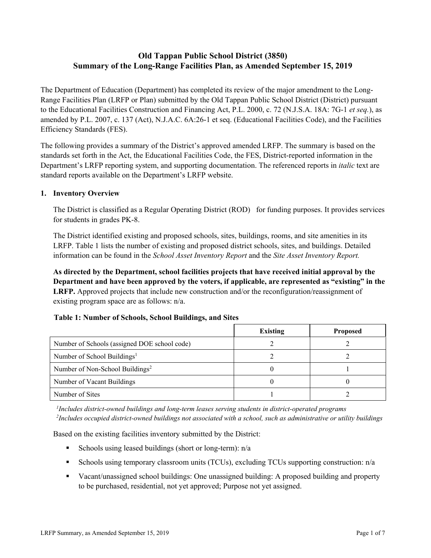# **Old Tappan Public School District (3850) Summary of the Long-Range Facilities Plan, as Amended September 15, 2019**

The Department of Education (Department) has completed its review of the major amendment to the Long-Range Facilities Plan (LRFP or Plan) submitted by the Old Tappan Public School District (District) pursuant to the Educational Facilities Construction and Financing Act, P.L. 2000, c. 72 (N.J.S.A. 18A: 7G-1 *et seq.*), as amended by P.L. 2007, c. 137 (Act), N.J.A.C. 6A:26-1 et seq. (Educational Facilities Code), and the Facilities Efficiency Standards (FES).

The following provides a summary of the District's approved amended LRFP. The summary is based on the standards set forth in the Act, the Educational Facilities Code, the FES, District-reported information in the Department's LRFP reporting system, and supporting documentation. The referenced reports in *italic* text are standard reports available on the Department's LRFP website.

### **1. Inventory Overview**

The District is classified as a Regular Operating District (ROD) for funding purposes. It provides services for students in grades PK-8.

The District identified existing and proposed schools, sites, buildings, rooms, and site amenities in its LRFP. Table 1 lists the number of existing and proposed district schools, sites, and buildings. Detailed information can be found in the *School Asset Inventory Report* and the *Site Asset Inventory Report.*

**As directed by the Department, school facilities projects that have received initial approval by the Department and have been approved by the voters, if applicable, are represented as "existing" in the LRFP.** Approved projects that include new construction and/or the reconfiguration/reassignment of existing program space are as follows: n/a.

|  | Table 1: Number of Schools, School Buildings, and Sites |
|--|---------------------------------------------------------|
|--|---------------------------------------------------------|

|                                              | <b>Existing</b> | <b>Proposed</b> |
|----------------------------------------------|-----------------|-----------------|
| Number of Schools (assigned DOE school code) |                 |                 |
| Number of School Buildings <sup>1</sup>      |                 |                 |
| Number of Non-School Buildings <sup>2</sup>  |                 |                 |
| Number of Vacant Buildings                   |                 |                 |
| Number of Sites                              |                 |                 |

*1 Includes district-owned buildings and long-term leases serving students in district-operated programs 2 Includes occupied district-owned buildings not associated with a school, such as administrative or utility buildings*

Based on the existing facilities inventory submitted by the District:

- Schools using leased buildings (short or long-term):  $n/a$
- Schools using temporary classroom units (TCUs), excluding TCUs supporting construction: n/a
- Vacant/unassigned school buildings: One unassigned building: A proposed building and property to be purchased, residential, not yet approved; Purpose not yet assigned.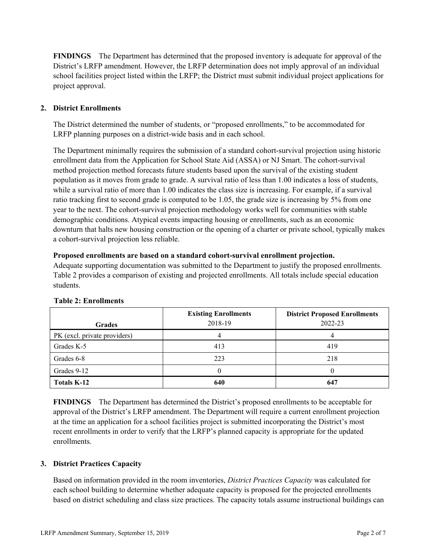**FINDINGS** The Department has determined that the proposed inventory is adequate for approval of the District's LRFP amendment. However, the LRFP determination does not imply approval of an individual school facilities project listed within the LRFP; the District must submit individual project applications for project approval.

# **2. District Enrollments**

The District determined the number of students, or "proposed enrollments," to be accommodated for LRFP planning purposes on a district-wide basis and in each school.

The Department minimally requires the submission of a standard cohort-survival projection using historic enrollment data from the Application for School State Aid (ASSA) or NJ Smart. The cohort-survival method projection method forecasts future students based upon the survival of the existing student population as it moves from grade to grade. A survival ratio of less than 1.00 indicates a loss of students, while a survival ratio of more than 1.00 indicates the class size is increasing. For example, if a survival ratio tracking first to second grade is computed to be 1.05, the grade size is increasing by 5% from one year to the next. The cohort-survival projection methodology works well for communities with stable demographic conditions. Atypical events impacting housing or enrollments, such as an economic downturn that halts new housing construction or the opening of a charter or private school, typically makes a cohort-survival projection less reliable.

### **Proposed enrollments are based on a standard cohort-survival enrollment projection.**

Adequate supporting documentation was submitted to the Department to justify the proposed enrollments. Table 2 provides a comparison of existing and projected enrollments. All totals include special education students.

| <b>Grades</b>                | <b>Existing Enrollments</b><br>2018-19 | <b>District Proposed Enrollments</b><br>2022-23 |
|------------------------------|----------------------------------------|-------------------------------------------------|
| PK (excl. private providers) |                                        |                                                 |
| Grades K-5                   | 413                                    | 419                                             |
| Grades 6-8                   | 223                                    | 218                                             |
| Grades 9-12                  |                                        |                                                 |
| <b>Totals K-12</b>           | 640                                    | 647                                             |

### **Table 2: Enrollments**

**FINDINGS** The Department has determined the District's proposed enrollments to be acceptable for approval of the District's LRFP amendment. The Department will require a current enrollment projection at the time an application for a school facilities project is submitted incorporating the District's most recent enrollments in order to verify that the LRFP's planned capacity is appropriate for the updated enrollments.

### **3. District Practices Capacity**

Based on information provided in the room inventories, *District Practices Capacity* was calculated for each school building to determine whether adequate capacity is proposed for the projected enrollments based on district scheduling and class size practices. The capacity totals assume instructional buildings can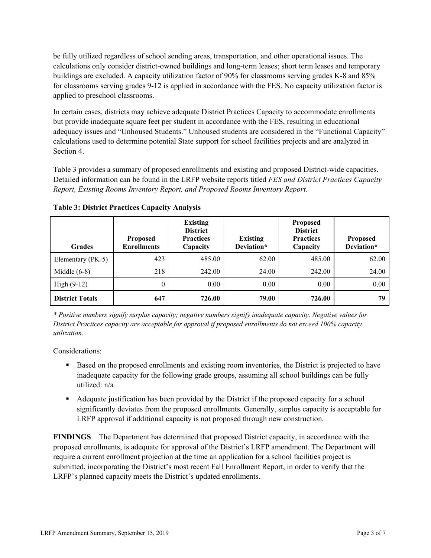be fully utilized regardless of school sending areas, transportation, and other operational issues. The calculations only consider district-owned buildings and long-term leases; short term leases and temporary buildings are excluded. A capacity utilization factor of 90% for classrooms serving grades K-8 and 85% for classrooms serving grades 9-12 is applied in accordance with the FES. No capacity utilization factor is applied to preschool classrooms.

In certain cases, districts may achieve adequate District Practices Capacity to accommodate enrollments but provide inadequate square feet per student in accordance with the FES, resulting in educational adequacy issues and "Unhoused Students." Unhoused students are considered in the "Functional Capacity" calculations used to determine potential State support for school facilities projects and are analyzed in Section 4.

Table 3 provides a summary of proposed enrollments and existing and proposed District-wide capacities. Detailed information can be found in the LRFP website reports titled *FES and District Practices Capacity Report, Existing Rooms Inventory Report, and Proposed Rooms Inventory Report.*

| <b>Grades</b>          | <b>Proposed</b><br><b>Enrollments</b> | <b>Existing</b><br><b>District</b><br><b>Practices</b><br>Capacity | <b>Existing</b><br>Deviation* | <b>Proposed</b><br><b>District</b><br><b>Practices</b><br>Capacity | <b>Proposed</b><br>Deviation* |
|------------------------|---------------------------------------|--------------------------------------------------------------------|-------------------------------|--------------------------------------------------------------------|-------------------------------|
| Elementary (PK-5)      | 423                                   | 485.00                                                             | 62.00                         | 485.00                                                             | 62.00                         |
| Middle $(6-8)$         | 218                                   | 242.00                                                             | 24.00                         | 242.00                                                             | 24.00                         |
| High $(9-12)$          | $\Omega$                              | 0.00                                                               | 0.00                          | 0.00                                                               | 0.00                          |
| <b>District Totals</b> | 647                                   | 726.00                                                             | 79.00                         | 726.00                                                             | 79                            |

**Table 3: District Practices Capacity Analysis**

*\* Positive numbers signify surplus capacity; negative numbers signify inadequate capacity. Negative values for District Practices capacity are acceptable for approval if proposed enrollments do not exceed 100% capacity utilization.*

Considerations:

- Based on the proposed enrollments and existing room inventories, the District is projected to have inadequate capacity for the following grade groups, assuming all school buildings can be fully utilized: n/a
- Adequate justification has been provided by the District if the proposed capacity for a school significantly deviates from the proposed enrollments. Generally, surplus capacity is acceptable for LRFP approval if additional capacity is not proposed through new construction.

**FINDINGS**The Department has determined that proposed District capacity, in accordance with the proposed enrollments, is adequate for approval of the District's LRFP amendment. The Department will require a current enrollment projection at the time an application for a school facilities project is submitted, incorporating the District's most recent Fall Enrollment Report, in order to verify that the LRFP's planned capacity meets the District's updated enrollments.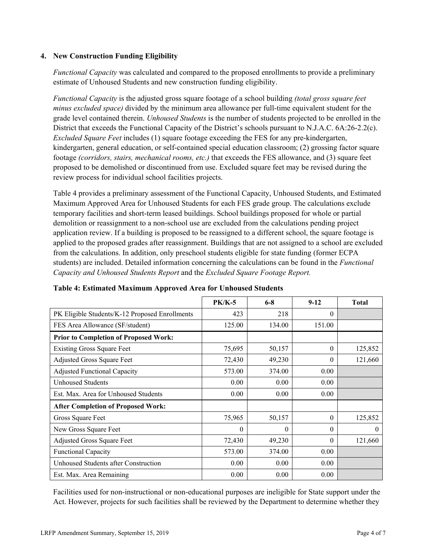### **4. New Construction Funding Eligibility**

*Functional Capacity* was calculated and compared to the proposed enrollments to provide a preliminary estimate of Unhoused Students and new construction funding eligibility.

*Functional Capacity* is the adjusted gross square footage of a school building *(total gross square feet minus excluded space)* divided by the minimum area allowance per full-time equivalent student for the grade level contained therein. *Unhoused Students* is the number of students projected to be enrolled in the District that exceeds the Functional Capacity of the District's schools pursuant to N.J.A.C. 6A:26-2.2(c). *Excluded Square Feet* includes (1) square footage exceeding the FES for any pre-kindergarten, kindergarten, general education, or self-contained special education classroom; (2) grossing factor square footage *(corridors, stairs, mechanical rooms, etc.)* that exceeds the FES allowance, and (3) square feet proposed to be demolished or discontinued from use. Excluded square feet may be revised during the review process for individual school facilities projects.

Table 4 provides a preliminary assessment of the Functional Capacity, Unhoused Students, and Estimated Maximum Approved Area for Unhoused Students for each FES grade group. The calculations exclude temporary facilities and short-term leased buildings. School buildings proposed for whole or partial demolition or reassignment to a non-school use are excluded from the calculations pending project application review. If a building is proposed to be reassigned to a different school, the square footage is applied to the proposed grades after reassignment. Buildings that are not assigned to a school are excluded from the calculations. In addition, only preschool students eligible for state funding (former ECPA students) are included. Detailed information concerning the calculations can be found in the *Functional Capacity and Unhoused Students Report* and the *Excluded Square Footage Report.*

|                                                | <b>PK/K-5</b> | $6 - 8$  | $9-12$   | <b>Total</b> |
|------------------------------------------------|---------------|----------|----------|--------------|
| PK Eligible Students/K-12 Proposed Enrollments | 423           | 218      | $\Omega$ |              |
| FES Area Allowance (SF/student)                | 125.00        | 134.00   | 151.00   |              |
| <b>Prior to Completion of Proposed Work:</b>   |               |          |          |              |
| <b>Existing Gross Square Feet</b>              | 75,695        | 50,157   | $\theta$ | 125,852      |
| Adjusted Gross Square Feet                     | 72,430        | 49,230   | 0        | 121,660      |
| <b>Adjusted Functional Capacity</b>            | 573.00        | 374.00   | 0.00     |              |
| Unhoused Students                              | 0.00          | 0.00     | 0.00     |              |
| Est. Max. Area for Unhoused Students           | 0.00          | 0.00     | 0.00     |              |
| <b>After Completion of Proposed Work:</b>      |               |          |          |              |
| Gross Square Feet                              | 75,965        | 50,157   | $\Omega$ | 125,852      |
| New Gross Square Feet                          | 0             | $\theta$ | $\theta$ | $\theta$     |
| Adjusted Gross Square Feet                     | 72,430        | 49,230   | $\Omega$ | 121,660      |
| Functional Capacity                            | 573.00        | 374.00   | 0.00     |              |
| Unhoused Students after Construction           | 0.00          | 0.00     | 0.00     |              |
| Est. Max. Area Remaining                       | 0.00          | 0.00     | 0.00     |              |

### **Table 4: Estimated Maximum Approved Area for Unhoused Students**

Facilities used for non-instructional or non-educational purposes are ineligible for State support under the Act. However, projects for such facilities shall be reviewed by the Department to determine whether they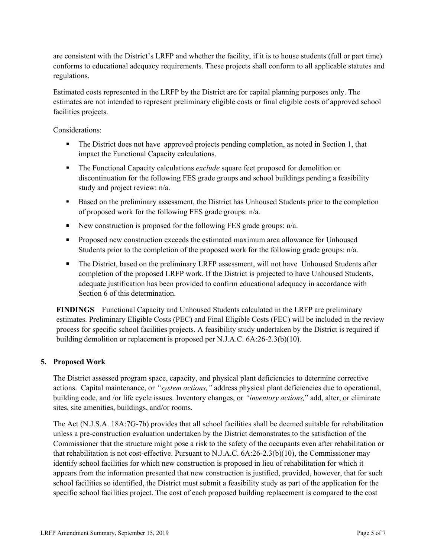are consistent with the District's LRFP and whether the facility, if it is to house students (full or part time) conforms to educational adequacy requirements. These projects shall conform to all applicable statutes and regulations.

Estimated costs represented in the LRFP by the District are for capital planning purposes only. The estimates are not intended to represent preliminary eligible costs or final eligible costs of approved school facilities projects.

Considerations:

- The District does not have approved projects pending completion, as noted in Section 1, that impact the Functional Capacity calculations.
- The Functional Capacity calculations *exclude* square feet proposed for demolition or discontinuation for the following FES grade groups and school buildings pending a feasibility study and project review: n/a.
- Based on the preliminary assessment, the District has Unhoused Students prior to the completion of proposed work for the following FES grade groups: n/a.
- New construction is proposed for the following FES grade groups:  $n/a$ .
- **Proposed new construction exceeds the estimated maximum area allowance for Unhoused** Students prior to the completion of the proposed work for the following grade groups: n/a.
- The District, based on the preliminary LRFP assessment, will not have Unhoused Students after completion of the proposed LRFP work. If the District is projected to have Unhoused Students, adequate justification has been provided to confirm educational adequacy in accordance with Section 6 of this determination.

**FINDINGS** Functional Capacity and Unhoused Students calculated in the LRFP are preliminary estimates. Preliminary Eligible Costs (PEC) and Final Eligible Costs (FEC) will be included in the review process for specific school facilities projects. A feasibility study undertaken by the District is required if building demolition or replacement is proposed per N.J.A.C. 6A:26-2.3(b)(10).

### **5. Proposed Work**

The District assessed program space, capacity, and physical plant deficiencies to determine corrective actions. Capital maintenance, or *"system actions,"* address physical plant deficiencies due to operational, building code, and /or life cycle issues. Inventory changes, or *"inventory actions,*" add, alter, or eliminate sites, site amenities, buildings, and/or rooms.

The Act (N.J.S.A. 18A:7G-7b) provides that all school facilities shall be deemed suitable for rehabilitation unless a pre-construction evaluation undertaken by the District demonstrates to the satisfaction of the Commissioner that the structure might pose a risk to the safety of the occupants even after rehabilitation or that rehabilitation is not cost-effective. Pursuant to N.J.A.C. 6A:26-2.3(b)(10), the Commissioner may identify school facilities for which new construction is proposed in lieu of rehabilitation for which it appears from the information presented that new construction is justified, provided, however, that for such school facilities so identified, the District must submit a feasibility study as part of the application for the specific school facilities project. The cost of each proposed building replacement is compared to the cost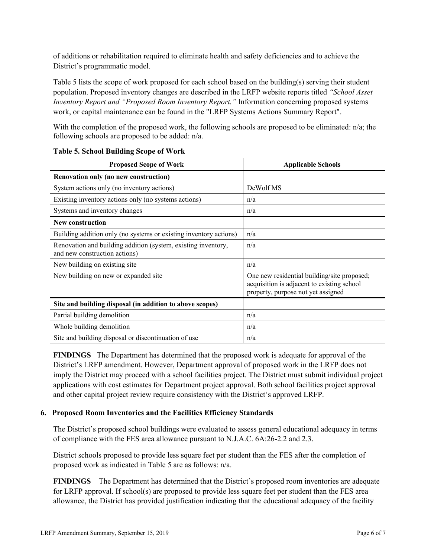of additions or rehabilitation required to eliminate health and safety deficiencies and to achieve the District's programmatic model.

Table 5 lists the scope of work proposed for each school based on the building(s) serving their student population. Proposed inventory changes are described in the LRFP website reports titled *"School Asset Inventory Report and "Proposed Room Inventory Report."* Information concerning proposed systems work, or capital maintenance can be found in the "LRFP Systems Actions Summary Report".

With the completion of the proposed work, the following schools are proposed to be eliminated: n/a; the following schools are proposed to be added: n/a.

| <b>Proposed Scope of Work</b>                                                                  | <b>Applicable Schools</b>                                                                                                       |
|------------------------------------------------------------------------------------------------|---------------------------------------------------------------------------------------------------------------------------------|
| Renovation only (no new construction)                                                          |                                                                                                                                 |
| System actions only (no inventory actions)                                                     | DeWolf MS                                                                                                                       |
| Existing inventory actions only (no systems actions)                                           | n/a                                                                                                                             |
| Systems and inventory changes                                                                  | n/a                                                                                                                             |
| New construction                                                                               |                                                                                                                                 |
| Building addition only (no systems or existing inventory actions)                              | n/a                                                                                                                             |
| Renovation and building addition (system, existing inventory,<br>and new construction actions) | n/a                                                                                                                             |
| New building on existing site                                                                  | n/a                                                                                                                             |
| New building on new or expanded site                                                           | One new residential building/site proposed;<br>acquisition is adjacent to existing school<br>property, purpose not yet assigned |
| Site and building disposal (in addition to above scopes)                                       |                                                                                                                                 |
| Partial building demolition                                                                    | n/a                                                                                                                             |
| Whole building demolition                                                                      | n/a                                                                                                                             |
| Site and building disposal or discontinuation of use                                           | n/a                                                                                                                             |

### **Table 5. School Building Scope of Work**

**FINDINGS** The Department has determined that the proposed work is adequate for approval of the District's LRFP amendment. However, Department approval of proposed work in the LRFP does not imply the District may proceed with a school facilities project. The District must submit individual project applications with cost estimates for Department project approval. Both school facilities project approval and other capital project review require consistency with the District's approved LRFP.

# **6. Proposed Room Inventories and the Facilities Efficiency Standards**

The District's proposed school buildings were evaluated to assess general educational adequacy in terms of compliance with the FES area allowance pursuant to N.J.A.C. 6A:26-2.2 and 2.3.

District schools proposed to provide less square feet per student than the FES after the completion of proposed work as indicated in Table 5 are as follows: n/a.

**FINDINGS** The Department has determined that the District's proposed room inventories are adequate for LRFP approval. If school(s) are proposed to provide less square feet per student than the FES area allowance, the District has provided justification indicating that the educational adequacy of the facility